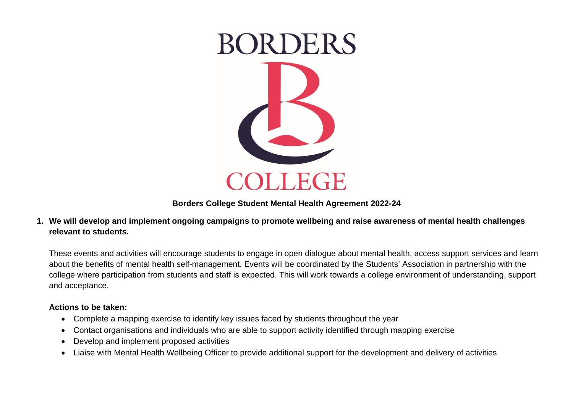

**Borders College Student Mental Health Agreement 2022-24**

**1. We will develop and implement ongoing campaigns to promote wellbeing and raise awareness of mental health challenges relevant to students.** 

These events and activities will encourage students to engage in open dialogue about mental health, access support services and learn about the benefits of mental health self-management. Events will be coordinated by the Students' Association in partnership with the college where participation from students and staff is expected. This will work towards a college environment of understanding, support and acceptance.

#### **Actions to be taken:**

- Complete a mapping exercise to identify key issues faced by students throughout the year
- Contact organisations and individuals who are able to support activity identified through mapping exercise
- Develop and implement proposed activities
- Liaise with Mental Health Wellbeing Officer to provide additional support for the development and delivery of activities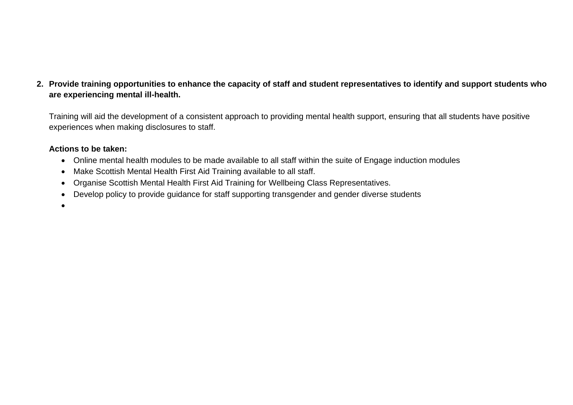# **2. Provide training opportunities to enhance the capacity of staff and student representatives to identify and support students who are experiencing mental ill-health.**

Training will aid the development of a consistent approach to providing mental health support, ensuring that all students have positive experiences when making disclosures to staff.

### **Actions to be taken:**

- Online mental health modules to be made available to all staff within the suite of Engage induction modules
- Make Scottish Mental Health First Aid Training available to all staff.
- Organise Scottish Mental Health First Aid Training for Wellbeing Class Representatives.
- Develop policy to provide guidance for staff supporting transgender and gender diverse students

•